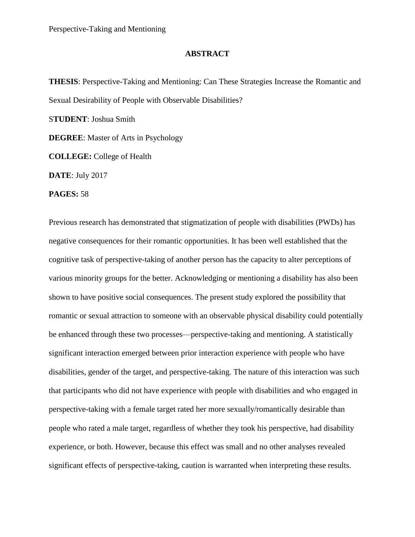## **ABSTRACT**

**THESIS**: Perspective-Taking and Mentioning: Can These Strategies Increase the Romantic and Sexual Desirability of People with Observable Disabilities? S**TUDENT**: Joshua Smith **DEGREE**: Master of Arts in Psychology **COLLEGE:** College of Health **DATE**: July 2017

**PAGES:** 58

Previous research has demonstrated that stigmatization of people with disabilities (PWDs) has negative consequences for their romantic opportunities. It has been well established that the cognitive task of perspective-taking of another person has the capacity to alter perceptions of various minority groups for the better. Acknowledging or mentioning a disability has also been shown to have positive social consequences. The present study explored the possibility that romantic or sexual attraction to someone with an observable physical disability could potentially be enhanced through these two processes—perspective-taking and mentioning. A statistically significant interaction emerged between prior interaction experience with people who have disabilities, gender of the target, and perspective-taking. The nature of this interaction was such that participants who did not have experience with people with disabilities and who engaged in perspective-taking with a female target rated her more sexually/romantically desirable than people who rated a male target, regardless of whether they took his perspective, had disability experience, or both. However, because this effect was small and no other analyses revealed significant effects of perspective-taking, caution is warranted when interpreting these results.